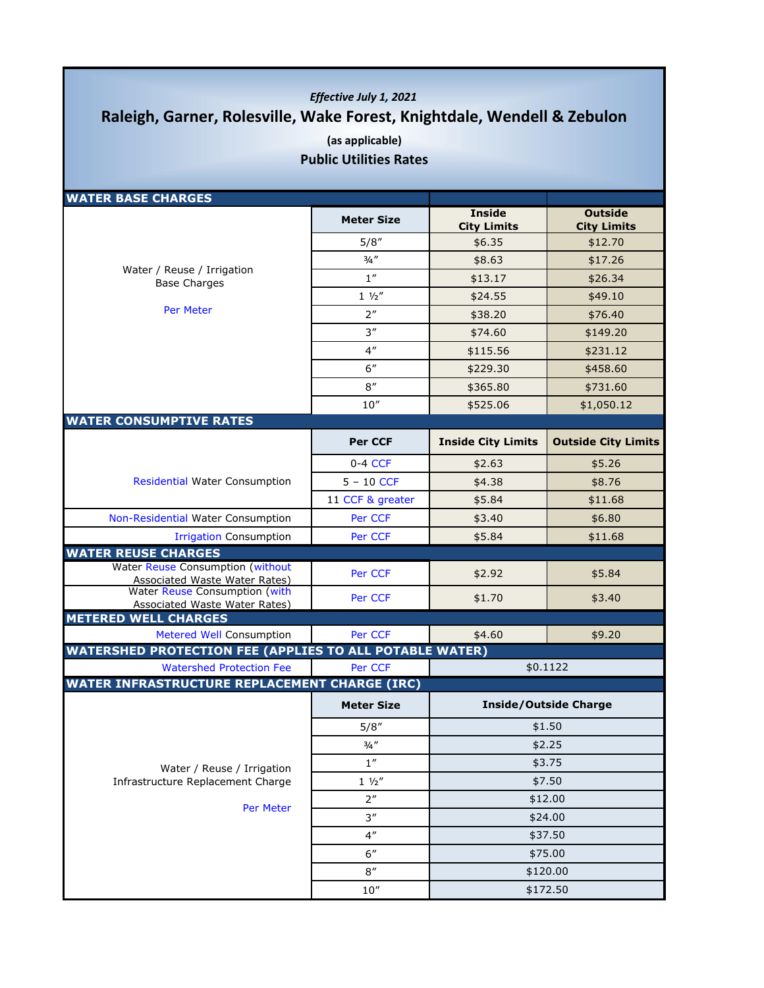## *Effective July 1, 2021* **Raleigh, Garner, Rolesville, Wake Forest, Knightdale, Wendell & Zebulon (as applicable)**

**Public Utilities Rates**

| <b>WATER BASE CHARGES</b>                                                |                     |                                     |                                      |
|--------------------------------------------------------------------------|---------------------|-------------------------------------|--------------------------------------|
|                                                                          | <b>Meter Size</b>   | <b>Inside</b><br><b>City Limits</b> | <b>Outside</b><br><b>City Limits</b> |
|                                                                          | 5/8''               | \$6.35                              | \$12.70                              |
|                                                                          | $3/4$ "             | \$8.63                              | \$17.26                              |
| Water / Reuse / Irrigation<br><b>Base Charges</b>                        | 1''                 | \$13.17                             | \$26.34                              |
|                                                                          | $1 \frac{1}{2}$     | \$24.55                             | \$49.10                              |
| <b>Per Meter</b>                                                         | 2 <sup>n</sup>      | \$38.20                             | \$76.40                              |
|                                                                          | 3''                 | \$74.60                             | \$149.20                             |
|                                                                          | 4 <sup>''</sup>     | \$115.56                            | \$231.12                             |
|                                                                          | 6''                 | \$229.30                            | \$458.60                             |
|                                                                          | 8''                 | \$365.80                            | \$731.60                             |
|                                                                          | $10^{\prime\prime}$ | \$525.06                            | \$1,050.12                           |
| <b>WATER CONSUMPTIVE RATES</b>                                           |                     |                                     |                                      |
|                                                                          | <b>Per CCF</b>      | <b>Inside City Limits</b>           | <b>Outside City Limits</b>           |
|                                                                          | $0-4$ CCF           | \$2.63                              | \$5.26                               |
| <b>Residential Water Consumption</b>                                     | $5 - 10$ CCF        | \$4.38                              | \$8.76                               |
|                                                                          | 11 CCF & greater    | \$5.84                              | \$11.68                              |
| Non-Residential Water Consumption                                        | Per CCF             | \$3.40                              | \$6.80                               |
| <b>Irrigation Consumption</b>                                            | Per CCF             | \$5.84                              | \$11.68                              |
| <b>WATER REUSE CHARGES</b>                                               |                     |                                     |                                      |
| Water Reuse Consumption (without<br><b>Associated Waste Water Rates)</b> | Per CCF             | \$2.92                              | \$5.84                               |
| Water Reuse Consumption (with<br><b>Associated Waste Water Rates)</b>    | Per CCF             | \$1.70                              | \$3.40                               |
| <b>METERED WELL CHARGES</b>                                              |                     |                                     |                                      |
| Metered Well Consumption                                                 | Per CCF             | \$4.60                              | \$9.20                               |
| <b>WATERSHED PROTECTION FEE (APPLIES TO ALL POTABLE WATER)</b>           |                     |                                     |                                      |
| <b>Watershed Protection Fee</b>                                          | Per CCF             |                                     | \$0.1122                             |
| <b>WATER INFRASTRUCTURE REPLACEMENT CHARGE (IRC)</b>                     |                     |                                     |                                      |
|                                                                          | <b>Meter Size</b>   | <b>Inside/Outside Charge</b>        |                                      |
|                                                                          | 5/8''               |                                     | \$1.50                               |
|                                                                          | 3/4''               |                                     | \$2.25                               |
| Water / Reuse / Irrigation                                               | $1^{\prime\prime}$  |                                     | \$3.75                               |
| Infrastructure Replacement Charge                                        | $1 \frac{1}{2}$     |                                     | \$7.50                               |
|                                                                          | 2"                  |                                     | \$12.00                              |
| Per Meter                                                                | 3''                 |                                     | \$24.00                              |
|                                                                          | 4 <sup>''</sup>     | \$37.50                             |                                      |
|                                                                          | 6''                 |                                     | \$75.00                              |
|                                                                          | $8^{\prime\prime}$  | \$120.00                            |                                      |
|                                                                          | 10''                | \$172.50                            |                                      |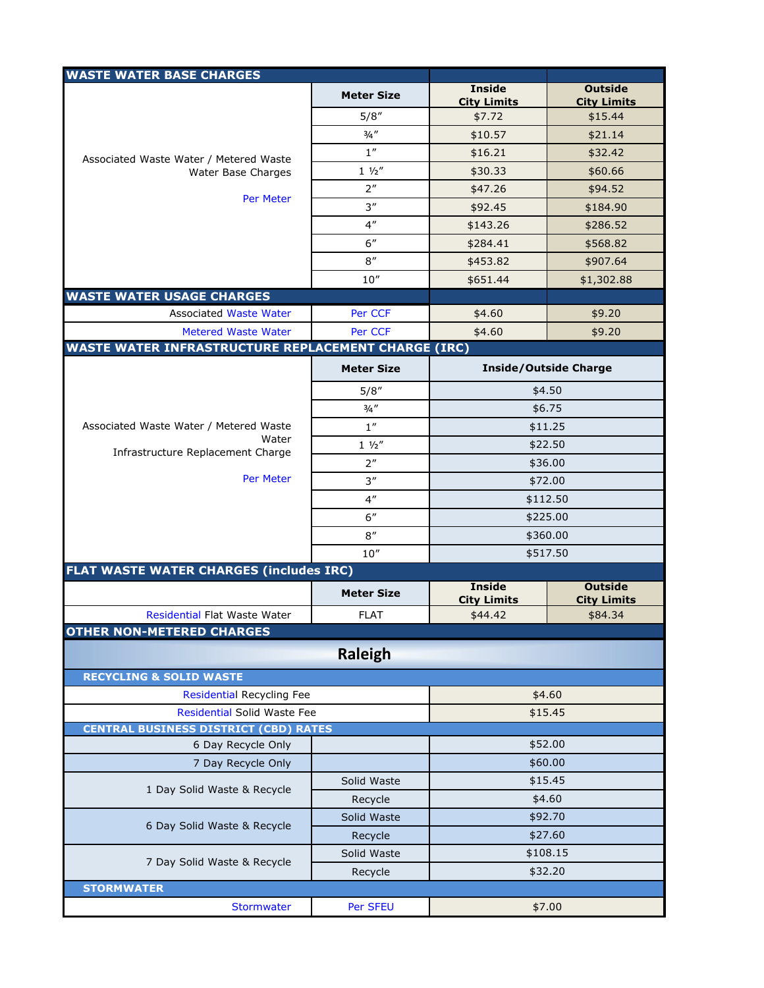| <b>WASTE WATER BASE CHARGES</b>                                    |                   |                                     |                                      |
|--------------------------------------------------------------------|-------------------|-------------------------------------|--------------------------------------|
|                                                                    | <b>Meter Size</b> | <b>Inside</b><br><b>City Limits</b> | <b>Outside</b><br><b>City Limits</b> |
|                                                                    | 5/8''             | \$7.72                              | \$15.44                              |
|                                                                    | 3/4''             | \$10.57                             | \$21.14                              |
| Associated Waste Water / Metered Waste                             | 1''               | \$16.21                             | \$32.42                              |
| Water Base Charges                                                 | $1 \frac{1}{2}$   | \$30.33                             | \$60.66                              |
|                                                                    | 2 <sup>n</sup>    | \$47.26                             | \$94.52                              |
| Per Meter                                                          | 3''               | \$92.45                             | \$184.90                             |
|                                                                    | 4 <sup>''</sup>   | \$143.26                            | \$286.52                             |
|                                                                    | 6''               | \$284.41                            | \$568.82                             |
|                                                                    | 8''               | \$453.82                            | \$907.64                             |
|                                                                    | 10''              | \$651.44                            | \$1,302.88                           |
| <b>WASTE WATER USAGE CHARGES</b>                                   |                   |                                     |                                      |
| <b>Associated Waste Water</b>                                      | Per CCF           | \$4.60                              | \$9.20                               |
| <b>Metered Waste Water</b>                                         | Per CCF           | \$4.60                              | \$9.20                               |
| <b>WASTE WATER INFRASTRUCTURE REPLACEMENT CHARGE (IRC)</b>         |                   |                                     |                                      |
|                                                                    | <b>Meter Size</b> | <b>Inside/Outside Charge</b>        |                                      |
|                                                                    | 5/8''             | \$4.50                              |                                      |
|                                                                    | 3/4''             | \$6.75                              |                                      |
| Associated Waste Water / Metered Waste                             | 1''               |                                     | \$11.25                              |
| Water                                                              | $1 \frac{1}{2}$   | \$22.50                             |                                      |
| Infrastructure Replacement Charge                                  | 2 <sup>''</sup>   |                                     | \$36.00                              |
| <b>Per Meter</b>                                                   | 3''               |                                     | \$72.00                              |
|                                                                    | 4 <sup>''</sup>   | \$112.50                            |                                      |
|                                                                    | 6''               | \$225.00                            |                                      |
|                                                                    | 8''               | \$360.00                            |                                      |
|                                                                    | 10''              | \$517.50                            |                                      |
| FLAT WASTE WATER CHARGES (includes IRC)                            |                   |                                     |                                      |
|                                                                    | <b>Meter Size</b> | <b>Inside</b>                       | <b>Outside</b>                       |
| Residential Flat Waste Water                                       | <b>FLAT</b>       | <b>City Limits</b><br>\$44.42       | <b>City Limits</b><br>\$84.34        |
| <b>OTHER NON-METERED CHARGES</b>                                   |                   |                                     |                                      |
|                                                                    | <b>Raleigh</b>    |                                     |                                      |
|                                                                    |                   |                                     |                                      |
| <b>RECYCLING &amp; SOLID WASTE</b>                                 |                   |                                     |                                      |
| <b>Residential Recycling Fee</b><br>\$4.60                         |                   |                                     |                                      |
| Residential Solid Waste Fee                                        |                   |                                     | \$15.45                              |
| <b>CENTRAL BUSINESS DISTRICT (CBD) RATES</b><br>6 Day Recycle Only |                   |                                     |                                      |
| 7 Day Recycle Only                                                 |                   | \$52.00<br>\$60.00                  |                                      |
|                                                                    | Solid Waste       |                                     |                                      |
| 1 Day Solid Waste & Recycle                                        | Recycle           | \$15.45<br>\$4.60                   |                                      |
|                                                                    | Solid Waste       | \$92.70                             |                                      |
| 6 Day Solid Waste & Recycle                                        | Recycle           | \$27.60                             |                                      |
|                                                                    | Solid Waste       | \$108.15                            |                                      |
| 7 Day Solid Waste & Recycle                                        | Recycle           | \$32.20                             |                                      |
| <b>STORMWATER</b>                                                  |                   |                                     |                                      |
| Stormwater                                                         | Per SFEU          |                                     | \$7.00                               |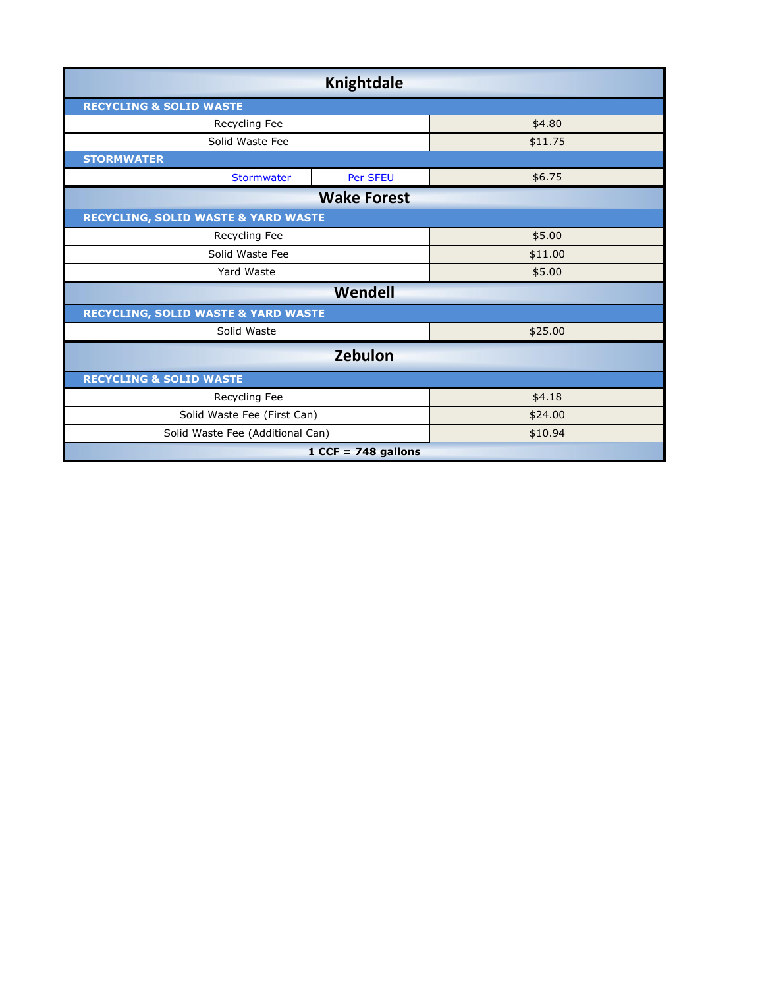| Knightdale                                     |          |         |  |  |
|------------------------------------------------|----------|---------|--|--|
| <b>RECYCLING &amp; SOLID WASTE</b>             |          |         |  |  |
| Recycling Fee                                  |          | \$4.80  |  |  |
| Solid Waste Fee                                |          | \$11.75 |  |  |
| <b>STORMWATER</b>                              |          |         |  |  |
| <b>Stormwater</b>                              | Per SFEU | \$6.75  |  |  |
| <b>Wake Forest</b>                             |          |         |  |  |
| <b>RECYCLING, SOLID WASTE &amp; YARD WASTE</b> |          |         |  |  |
| Recycling Fee                                  |          | \$5.00  |  |  |
| Solid Waste Fee                                |          | \$11.00 |  |  |
| Yard Waste                                     |          | \$5.00  |  |  |
| Wendell                                        |          |         |  |  |
| <b>RECYCLING, SOLID WASTE &amp; YARD WASTE</b> |          |         |  |  |
| Solid Waste                                    |          | \$25.00 |  |  |
| <b>Zebulon</b>                                 |          |         |  |  |
| <b>RECYCLING &amp; SOLID WASTE</b>             |          |         |  |  |
| Recycling Fee                                  |          | \$4.18  |  |  |
| Solid Waste Fee (First Can)                    |          | \$24.00 |  |  |
| Solid Waste Fee (Additional Can)               |          | \$10.94 |  |  |
| $1$ CCF = 748 gallons                          |          |         |  |  |